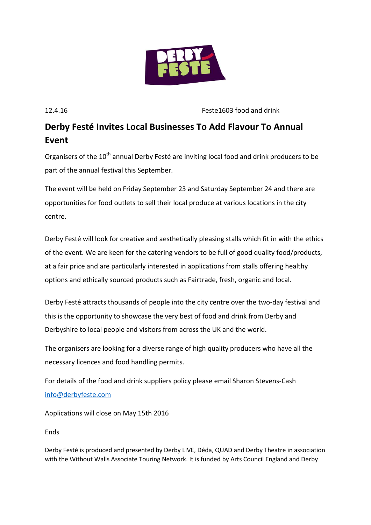

12.4.16 Feste1603 food and drink

## **Derby Festé Invites Local Businesses To Add Flavour To Annual Event**

Organisers of the 10<sup>th</sup> annual Derby Festé are inviting local food and drink producers to be part of the annual festival this September.

The event will be held on Friday September 23 and Saturday September 24 and there are opportunities for food outlets to sell their local produce at various locations in the city centre.

Derby Festé will look for creative and aesthetically pleasing stalls which fit in with the ethics of the event. We are keen for the catering vendors to be full of good quality food/products, at a fair price and are particularly interested in applications from stalls offering healthy options and ethically sourced products such as Fairtrade, fresh, organic and local.

Derby Festé attracts thousands of people into the city centre over the two-day festival and this is the opportunity to showcase the very best of food and drink from Derby and Derbyshire to local people and visitors from across the UK and the world.

The organisers are looking for a diverse range of high quality producers who have all the necessary licences and food handling permits.

For details of the food and drink suppliers policy please email Sharon Stevens-Cash [info@derbyfeste.com](mailto:info@derbyfeste.com)

Applications will close on May 15th 2016

Ends

Derby Festé is produced and presented by Derby LIVE, Déda, QUAD and Derby Theatre in association with the Without Walls Associate Touring Network. It is funded by Arts Council England and Derby